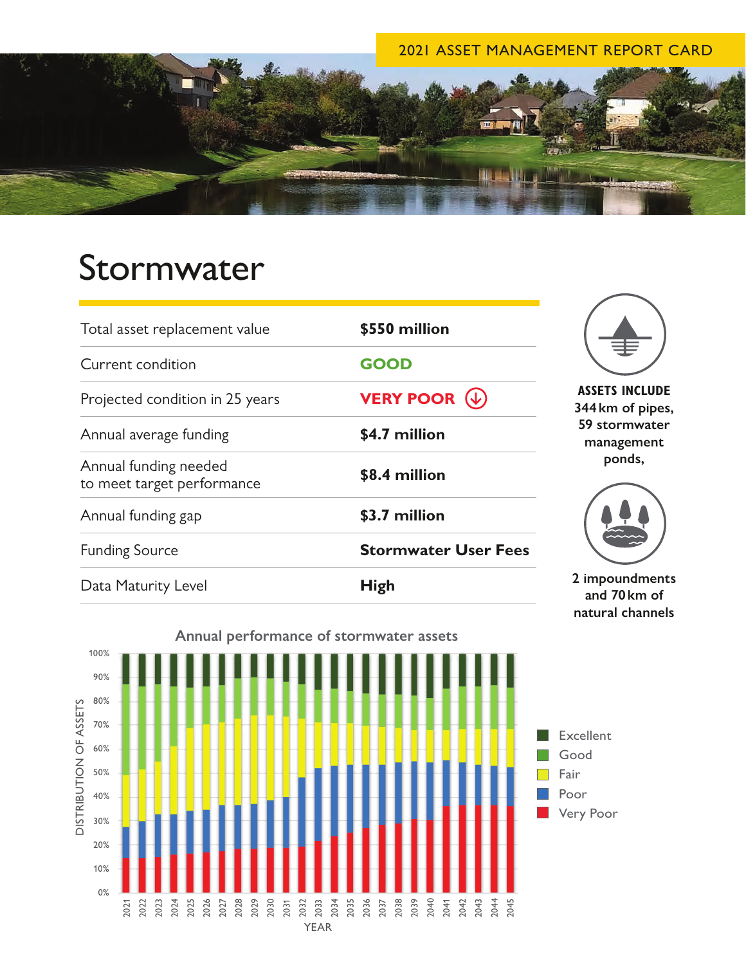### 2021 ASSET MANAGEMENT REPORT CARD



# Stormwater

| Total asset replacement value                       | \$550 million               |                                                                                    |
|-----------------------------------------------------|-----------------------------|------------------------------------------------------------------------------------|
| Current condition                                   | <b>GOOD</b>                 |                                                                                    |
| Projected condition in 25 years                     | <b>VERY POOR</b>            | <b>ASSETS INCLUDE</b><br>344 km of pipes,<br>59 stormwater<br>management<br>ponds, |
| Annual average funding                              | \$4.7 million               |                                                                                    |
| Annual funding needed<br>to meet target performance | \$8.4 million               |                                                                                    |
| Annual funding gap                                  | \$3.7 million               |                                                                                    |
| <b>Funding Source</b>                               | <b>Stormwater User Fees</b> |                                                                                    |
| Data Maturity Level                                 | <b>High</b>                 | 2 impoundments<br>and $70 \mathrm{km}$ of                                          |

**and 70km of natural channels**